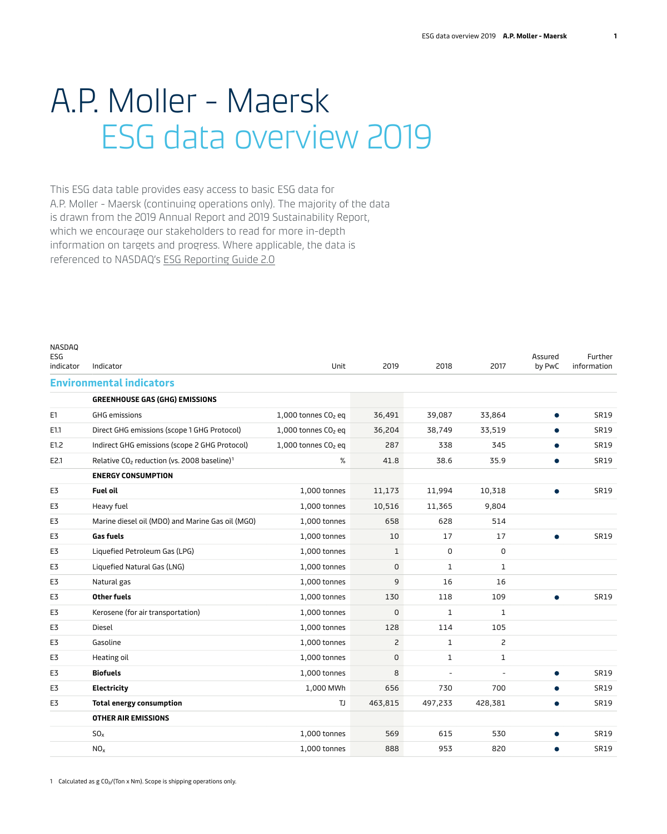## A.P. Moller - Maersk ESG data overview 2019

This ESG data table provides easy access to basic ESG data for A.P. Moller - Maersk (continuing operations only). The majority of the data is drawn from the 2019 Annual Report and 2019 Sustainability Report, which we encourage our stakeholders to read for more in-depth information on targets and progress. Where applicable, the data is referenced to NASDAQ's [ESG Reporting Guide 2.0](https://www.nasdaq.com/docs/2019/11/26/2019-ESG-Reporting-Guide.pdf)

| NASDAQ<br>ESG<br>indicator | Indicator                                                           | Unit                            | 2019         | 2018           | 2017         | Assured<br>by PwC | Further<br>information |
|----------------------------|---------------------------------------------------------------------|---------------------------------|--------------|----------------|--------------|-------------------|------------------------|
|                            | <b>Environmental indicators</b>                                     |                                 |              |                |              |                   |                        |
|                            | <b>GREENHOUSE GAS (GHG) EMISSIONS</b>                               |                                 |              |                |              |                   |                        |
| E1                         | <b>GHG emissions</b>                                                | $1,000$ tonnes $CO2$ eq         | 36,491       | 39,087         | 33,864       |                   | <b>SR19</b>            |
| E1.1                       | Direct GHG emissions (scope 1 GHG Protocol)                         | $1,000$ tonnes $CO2$ eq         | 36,204       | 38,749         | 33,519       |                   | <b>SR19</b>            |
| E1.2                       | Indirect GHG emissions (scope 2 GHG Protocol)                       | 1,000 tonnes CO <sub>2</sub> eq | 287          | 338            | 345          | $\bullet$         | <b>SR19</b>            |
| E2.1                       | Relative CO <sub>2</sub> reduction (vs. 2008 baseline) <sup>1</sup> | %                               | 41.8         | 38.6           | 35.9         |                   | <b>SR19</b>            |
|                            | <b>ENERGY CONSUMPTION</b>                                           |                                 |              |                |              |                   |                        |
| E3                         | <b>Fuel oil</b>                                                     | 1,000 tonnes                    | 11,173       | 11,994         | 10,318       | $\bullet$         | <b>SR19</b>            |
| E3                         | Heavy fuel                                                          | 1,000 tonnes                    | 10,516       | 11,365         | 9,804        |                   |                        |
| E3                         | Marine diesel oil (MDO) and Marine Gas oil (MGO)                    | 1,000 tonnes                    | 658          | 628            | 514          |                   |                        |
| E3                         | <b>Gas fuels</b>                                                    | 1,000 tonnes                    | 10           | 17             | 17           | $\bullet$         | <b>SR19</b>            |
| E3                         | Liquefied Petroleum Gas (LPG)                                       | 1,000 tonnes                    | $\mathbf{1}$ | 0              | 0            |                   |                        |
| E3                         | Liquefied Natural Gas (LNG)                                         | 1,000 tonnes                    | 0            | 1              | $\mathbf{1}$ |                   |                        |
| E3                         | Natural gas                                                         | 1,000 tonnes                    | 9            | 16             | 16           |                   |                        |
| E3                         | <b>Other fuels</b>                                                  | 1,000 tonnes                    | 130          | 118            | 109          | $\bullet$         | <b>SR19</b>            |
| E3                         | Kerosene (for air transportation)                                   | 1,000 tonnes                    | $\mathbf 0$  | $\mathbf{1}$   | $\mathbf 1$  |                   |                        |
| E3                         | Diesel                                                              | 1,000 tonnes                    | 128          | 114            | 105          |                   |                        |
| E3                         | Gasoline                                                            | 1,000 tonnes                    | 2            | $\mathbf{1}$   | 2            |                   |                        |
| E3                         | Heating oil                                                         | 1,000 tonnes                    | 0            | 1              | 1            |                   |                        |
| E3                         | <b>Biofuels</b>                                                     | 1,000 tonnes                    | 8            | $\overline{a}$ |              | $\bullet$         | <b>SR19</b>            |
| E3                         | Electricity                                                         | 1,000 MWh                       | 656          | 730            | 700          |                   | <b>SR19</b>            |
| E3                         | <b>Total energy consumption</b>                                     | TJ                              | 463,815      | 497,233        | 428,381      | $\bullet$         | <b>SR19</b>            |
|                            | <b>OTHER AIR EMISSIONS</b>                                          |                                 |              |                |              |                   |                        |
|                            | SO <sub>x</sub>                                                     | 1,000 tonnes                    | 569          | 615            | 530          | $\bullet$         | <b>SR19</b>            |
|                            | NO <sub>x</sub>                                                     | 1,000 tonnes                    | 888          | 953            | 820          |                   | <b>SR19</b>            |
|                            |                                                                     |                                 |              |                |              |                   |                        |

1 Calculated as g CO2/(Ton x Nm). Scope is shipping operations only.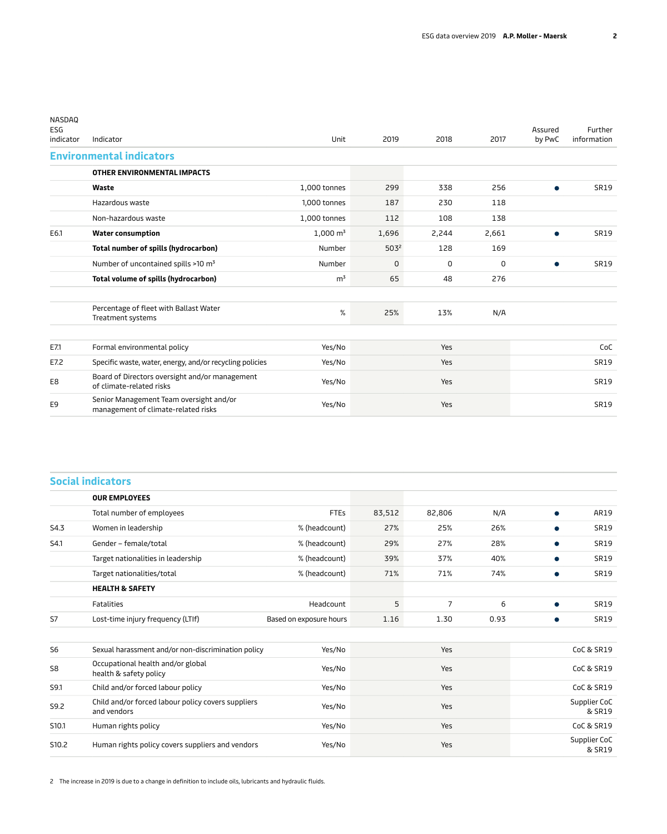| NASDAQ<br>ESG<br>indicator | Indicator                                                                      | Unit                | 2019             | 2018  | 2017  | Assured<br>by PwC | Further<br>information |
|----------------------------|--------------------------------------------------------------------------------|---------------------|------------------|-------|-------|-------------------|------------------------|
|                            | <b>Environmental indicators</b>                                                |                     |                  |       |       |                   |                        |
|                            | OTHER ENVIRONMENTAL IMPACTS                                                    |                     |                  |       |       |                   |                        |
|                            | Waste                                                                          | 1,000 tonnes        | 299              | 338   | 256   | $\bullet$         | <b>SR19</b>            |
|                            | Hazardous waste                                                                | 1,000 tonnes        | 187              | 230   | 118   |                   |                        |
|                            | Non-hazardous waste                                                            | 1,000 tonnes        | 112              | 108   | 138   |                   |                        |
| E6.1                       | <b>Water consumption</b>                                                       | $1,000 \text{ m}^3$ | 1,696            | 2,244 | 2,661 | $\bullet$         | <b>SR19</b>            |
|                            | Total number of spills (hydrocarbon)                                           | Number              | 503 <sup>2</sup> | 128   | 169   |                   |                        |
|                            | Number of uncontained spills >10 m <sup>3</sup>                                | Number              | $\Omega$         | 0     | 0     | $\bullet$         | <b>SR19</b>            |
|                            | Total volume of spills (hydrocarbon)                                           | m <sup>3</sup>      | 65               | 48    | 276   |                   |                        |
|                            | Percentage of fleet with Ballast Water<br>Treatment systems                    | %                   | 25%              | 13%   | N/A   |                   |                        |
| E7.1                       | Formal environmental policy                                                    | Yes/No              |                  | Yes   |       |                   | CoC                    |
| E7.2                       | Specific waste, water, energy, and/or recycling policies                       | Yes/No              |                  | Yes   |       |                   | <b>SR19</b>            |
| E8                         | Board of Directors oversight and/or management<br>of climate-related risks     | Yes/No              |                  | Yes   |       |                   | <b>SR19</b>            |
| E9                         | Senior Management Team oversight and/or<br>management of climate-related risks | Yes/No              |                  | Yes   |       |                   | <b>SR19</b>            |

|                   | <b>Social indicators</b>                                          |                         |        |        |      |           |                        |
|-------------------|-------------------------------------------------------------------|-------------------------|--------|--------|------|-----------|------------------------|
|                   | <b>OUR EMPLOYEES</b>                                              |                         |        |        |      |           |                        |
|                   | Total number of employees                                         | <b>FTEs</b>             | 83,512 | 82,806 | N/A  | $\bullet$ | AR19                   |
| S4.3              | Women in leadership                                               | % (headcount)           | 27%    | 25%    | 26%  |           | <b>SR19</b>            |
| S4.1              | Gender - female/total                                             | % (headcount)           | 29%    | 27%    | 28%  |           | <b>SR19</b>            |
|                   | Target nationalities in leadership                                | % (headcount)           | 39%    | 37%    | 40%  | $\bullet$ | <b>SR19</b>            |
|                   | Target nationalities/total                                        | % (headcount)           | 71%    | 71%    | 74%  |           | <b>SR19</b>            |
|                   | <b>HEALTH &amp; SAFETY</b>                                        |                         |        |        |      |           |                        |
|                   | <b>Fatalities</b>                                                 | Headcount               | 5      | 7      | 6    |           | <b>SR19</b>            |
| S7                | Lost-time injury frequency (LTIf)                                 | Based on exposure hours | 1.16   | 1.30   | 0.93 |           | <b>SR19</b>            |
|                   |                                                                   |                         |        |        |      |           |                        |
| S <sub>6</sub>    | Sexual harassment and/or non-discrimination policy                | Yes/No                  |        | Yes    |      |           | <b>CoC &amp; SR19</b>  |
| S8                | Occupational health and/or global<br>health & safety policy       | Yes/No                  |        | Yes    |      |           | CoC & SR19             |
| S9.1              | Child and/or forced labour policy                                 | Yes/No                  |        | Yes    |      |           | <b>CoC &amp; SR19</b>  |
| S9.2              | Child and/or forced labour policy covers suppliers<br>and vendors | Yes/No                  |        | Yes    |      |           | Supplier CoC<br>& SR19 |
| S <sub>10.1</sub> | Human rights policy                                               | Yes/No                  |        | Yes    |      |           | CoC & SR19             |
| S10.2             | Human rights policy covers suppliers and vendors                  | Yes/No                  |        | Yes    |      |           | Supplier CoC<br>& SR19 |

2 The increase in 2019 is due to a change in definition to include oils, lubricants and hydraulic fluids.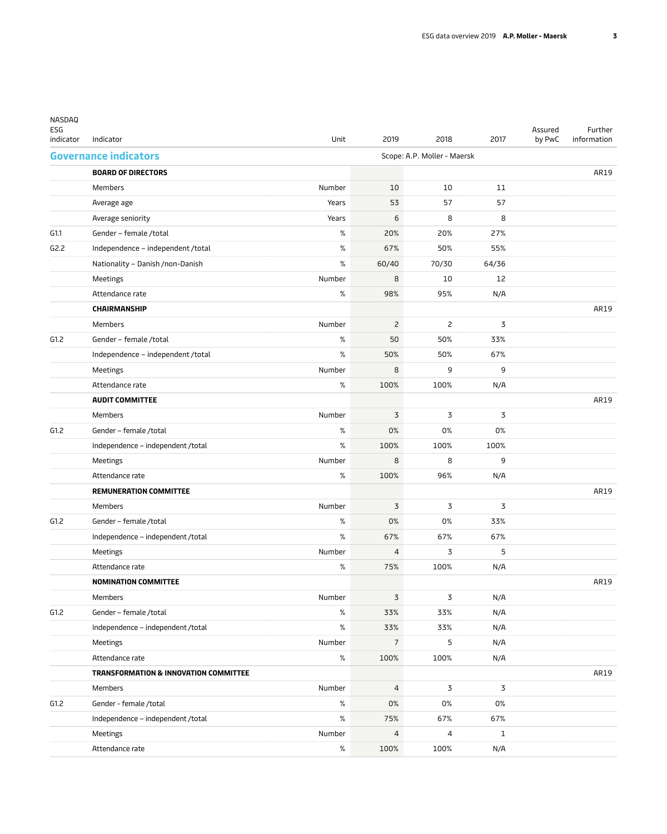| NASDAQ<br>ESG<br>indicator | Indicator                             | Unit   | 2019           | 2018                        | 2017           | Assured<br>by PwC | Further<br>information |
|----------------------------|---------------------------------------|--------|----------------|-----------------------------|----------------|-------------------|------------------------|
|                            | <b>Governance indicators</b>          |        |                | Scope: A.P. Moller - Maersk |                |                   |                        |
|                            | <b>BOARD OF DIRECTORS</b>             |        |                |                             |                |                   | AR19                   |
|                            | Members                               | Number | 10             | 10                          | 11             |                   |                        |
|                            | Average age                           | Years  | 53             | 57                          | 57             |                   |                        |
|                            | Average seniority                     | Years  | 6              | 8                           | 8              |                   |                        |
| G1.1                       | Gender - female /total                | %      | 20%            | 20%                         | 27%            |                   |                        |
| G2.2                       | Independence - independent /total     | %      | 67%            | 50%                         | 55%            |                   |                        |
|                            | Nationality - Danish /non-Danish      | %      | 60/40          | 70/30                       | 64/36          |                   |                        |
|                            | Meetings                              | Number | 8              | 10                          | 12             |                   |                        |
|                            | Attendance rate                       | $\%$   | 98%            | 95%                         | N/A            |                   |                        |
|                            | <b>CHAIRMANSHIP</b>                   |        |                |                             |                |                   | AR19                   |
|                            | Members                               | Number | $\overline{c}$ | $\overline{c}$              | 3              |                   |                        |
| G1.2                       | Gender - female /total                | $\%$   | 50             | 50%                         | 33%            |                   |                        |
|                            | Independence - independent /total     | $\%$   | 50%            | 50%                         | 67%            |                   |                        |
|                            | Meetings                              | Number | 8              | 9                           | 9              |                   |                        |
|                            | Attendance rate                       | $\%$   | 100%           | 100%                        | N/A            |                   |                        |
|                            | <b>AUDIT COMMITTEE</b>                |        |                |                             |                |                   | AR19                   |
|                            | Members                               | Number | 3              | 3                           | 3              |                   |                        |
| G1.2                       | Gender - female /total                | %      | 0%             | 0%                          | 0%             |                   |                        |
|                            | Independence - independent /total     | $\%$   | 100%           | 100%                        | 100%           |                   |                        |
|                            | Meetings                              | Number | 8              | 8                           | 9              |                   |                        |
|                            | Attendance rate                       | %      | 100%           | 96%                         | N/A            |                   |                        |
|                            | <b>REMUNERATION COMMITTEE</b>         |        |                |                             |                |                   | AR19                   |
|                            | Members                               | Number | 3              | 3                           | 3              |                   |                        |
| G1.2                       | Gender - female /total                | %      | 0%             | 0%                          | 33%            |                   |                        |
|                            | Independence - independent /total     | %      | 67%            | 67%                         | 67%            |                   |                        |
|                            | Meetings                              | Number | 4              | 3                           | 5              |                   |                        |
|                            | Attendance rate                       | %      | 75%            | 100%                        | N/A            |                   |                        |
|                            | <b>NOMINATION COMMITTEE</b>           |        |                |                             |                |                   | AR19                   |
|                            | Members                               | Number | $\mathsf 3$    | 3                           | N/A            |                   |                        |
| G1.2                       | Gender - female /total                | $\%$   | 33%            | 33%                         | N/A            |                   |                        |
|                            | Independence - independent /total     | $\%$   | 33%            | 33%                         | N/A            |                   |                        |
|                            | Meetings                              | Number | $\overline{7}$ | 5                           | N/A            |                   |                        |
|                            | Attendance rate                       | $\%$   | 100%           | 100%                        | N/A            |                   |                        |
|                            | TRANSFORMATION & INNOVATION COMMITTEE |        |                |                             |                |                   | AR19                   |
|                            | Members                               | Number | $\overline{4}$ | 3                           | $\overline{3}$ |                   |                        |
| G1.2                       | Gender - female /total                | $\%$   | 0%             | 0%                          | 0%             |                   |                        |
|                            | Independence - independent /total     | $\%$   | 75%            | 67%                         | 67%            |                   |                        |
|                            | Meetings                              | Number | 4              | 4                           | $\mathbf{1}$   |                   |                        |
|                            | Attendance rate                       | $\%$   | 100%           | 100%                        | N/A            |                   |                        |